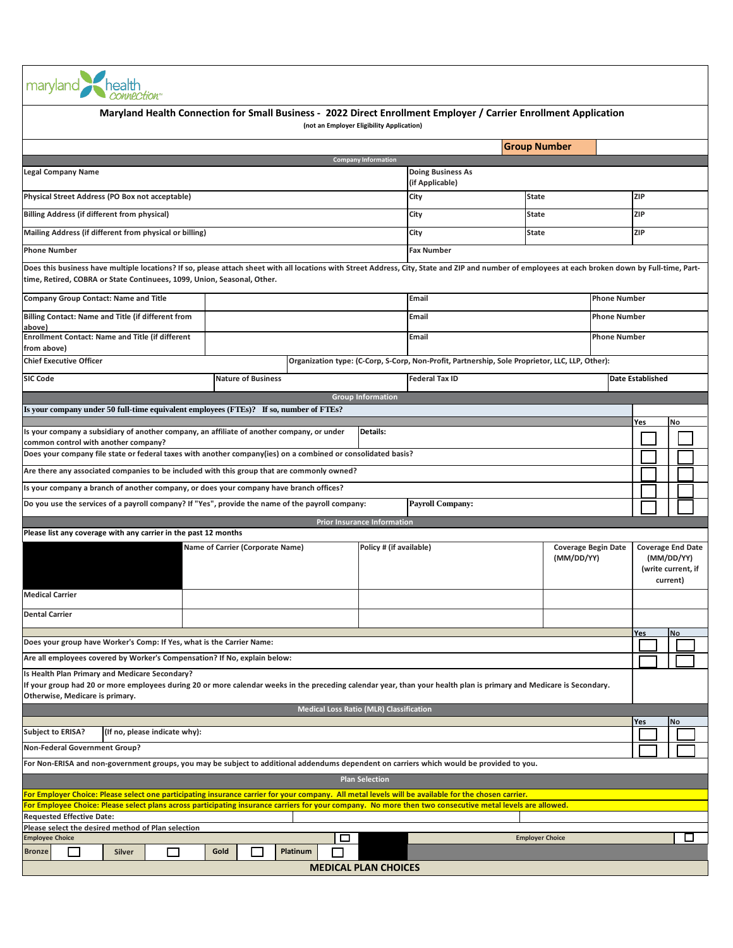| maryland                                                                                                                                                                                                                                                                      |                                                                                                                  |                                                |                                    |                                                                                                 |                     |                        |                            |                                  |     |           |                          |  |
|-------------------------------------------------------------------------------------------------------------------------------------------------------------------------------------------------------------------------------------------------------------------------------|------------------------------------------------------------------------------------------------------------------|------------------------------------------------|------------------------------------|-------------------------------------------------------------------------------------------------|---------------------|------------------------|----------------------------|----------------------------------|-----|-----------|--------------------------|--|
|                                                                                                                                                                                                                                                                               | Maryland Health Connection for Small Business - 2022 Direct Enrollment Employer / Carrier Enrollment Application | (not an Employer Eligibility Application)      |                                    |                                                                                                 |                     |                        |                            |                                  |     |           |                          |  |
|                                                                                                                                                                                                                                                                               |                                                                                                                  |                                                |                                    |                                                                                                 | <b>Group Number</b> |                        |                            |                                  |     |           |                          |  |
|                                                                                                                                                                                                                                                                               |                                                                                                                  |                                                | <b>Company Information</b>         |                                                                                                 |                     |                        |                            |                                  |     |           |                          |  |
| <b>Legal Company Name</b>                                                                                                                                                                                                                                                     |                                                                                                                  |                                                |                                    | <b>Doing Business As</b><br>(if Applicable)                                                     |                     |                        |                            |                                  |     |           |                          |  |
| Physical Street Address (PO Box not acceptable)<br>City<br><b>State</b>                                                                                                                                                                                                       |                                                                                                                  |                                                |                                    |                                                                                                 |                     |                        |                            |                                  | ZIP |           |                          |  |
| <b>Billing Address (if different from physical)</b><br><b>State</b><br>City                                                                                                                                                                                                   |                                                                                                                  |                                                |                                    |                                                                                                 |                     |                        |                            |                                  | ZIP |           |                          |  |
| Mailing Address (if different from physical or billing)<br>City<br><b>State</b>                                                                                                                                                                                               |                                                                                                                  |                                                |                                    |                                                                                                 |                     |                        |                            | <b>ZIP</b>                       |     |           |                          |  |
| <b>Phone Number</b>                                                                                                                                                                                                                                                           |                                                                                                                  |                                                |                                    | <b>Fax Number</b>                                                                               |                     |                        |                            |                                  |     |           |                          |  |
| Does this business have multiple locations? If so, please attach sheet with all locations with Street Address, City, State and ZIP and number of employees at each broken down by Full-time, Part-<br>time, Retired, COBRA or State Continuees, 1099, Union, Seasonal, Other. |                                                                                                                  |                                                |                                    |                                                                                                 |                     |                        |                            |                                  |     |           |                          |  |
| <b>Company Group Contact: Name and Title</b>                                                                                                                                                                                                                                  |                                                                                                                  |                                                |                                    | Email<br><b>Phone Number</b>                                                                    |                     |                        |                            |                                  |     |           |                          |  |
| Billing Contact: Name and Title (if different from<br>above)                                                                                                                                                                                                                  |                                                                                                                  |                                                |                                    | Email                                                                                           |                     |                        |                            | <b>Phone Number</b>              |     |           |                          |  |
| Enrollment Contact: Name and Title (if different<br>from above)                                                                                                                                                                                                               |                                                                                                                  |                                                |                                    | Email                                                                                           |                     |                        | <b>Phone Number</b>        |                                  |     |           |                          |  |
| <b>Chief Executive Officer</b>                                                                                                                                                                                                                                                |                                                                                                                  |                                                |                                    | Organization type: (C-Corp, S-Corp, Non-Profit, Partnership, Sole Proprietor, LLC, LLP, Other): |                     |                        |                            |                                  |     |           |                          |  |
| <b>SIC Code</b>                                                                                                                                                                                                                                                               | <b>Nature of Business</b>                                                                                        |                                                |                                    | <b>Federal Tax ID</b>                                                                           |                     |                        |                            | <b>Date Established</b>          |     |           |                          |  |
|                                                                                                                                                                                                                                                                               |                                                                                                                  |                                                | <b>Group Information</b>           |                                                                                                 |                     |                        |                            |                                  |     |           |                          |  |
| Is your company under 50 full-time equivalent employees (FTEs)? If so, number of FTEs?                                                                                                                                                                                        |                                                                                                                  |                                                |                                    |                                                                                                 |                     |                        |                            |                                  |     |           |                          |  |
|                                                                                                                                                                                                                                                                               |                                                                                                                  |                                                |                                    |                                                                                                 |                     |                        |                            | Yes                              |     | No        |                          |  |
| Is your company a subsidiary of another company, an affiliate of another company, or under<br>common control with another company?                                                                                                                                            |                                                                                                                  |                                                | Details:                           |                                                                                                 |                     |                        |                            |                                  |     |           |                          |  |
| Does your company file state or federal taxes with another company(ies) on a combined or consolidated basis?                                                                                                                                                                  |                                                                                                                  |                                                |                                    |                                                                                                 |                     |                        |                            |                                  |     |           |                          |  |
| Are there any associated companies to be included with this group that are commonly owned?                                                                                                                                                                                    |                                                                                                                  |                                                |                                    |                                                                                                 |                     |                        |                            |                                  |     |           |                          |  |
| Is your company a branch of another company, or does your company have branch offices?                                                                                                                                                                                        |                                                                                                                  |                                                |                                    |                                                                                                 |                     |                        |                            |                                  |     |           |                          |  |
| Do you use the services of a payroll company? If "Yes", provide the name of the payroll company:                                                                                                                                                                              |                                                                                                                  |                                                |                                    | <b>Payroll Company:</b>                                                                         |                     |                        |                            |                                  |     |           |                          |  |
|                                                                                                                                                                                                                                                                               |                                                                                                                  |                                                | <b>Prior Insurance Information</b> |                                                                                                 |                     |                        |                            |                                  |     |           |                          |  |
| Please list any coverage with any carrier in the past 12 months                                                                                                                                                                                                               |                                                                                                                  |                                                |                                    |                                                                                                 |                     |                        |                            |                                  |     |           |                          |  |
|                                                                                                                                                                                                                                                                               | Name of Carrier (Corporate Name)                                                                                 |                                                | Policy # (if available)            |                                                                                                 |                     |                        | <b>Coverage Begin Date</b> |                                  |     |           | <b>Coverage End Date</b> |  |
|                                                                                                                                                                                                                                                                               |                                                                                                                  |                                                |                                    |                                                                                                 |                     | (MM/DD/YY)             |                            | (MM/DD/YY)<br>(write current, if |     |           |                          |  |
|                                                                                                                                                                                                                                                                               |                                                                                                                  |                                                |                                    |                                                                                                 |                     |                        |                            |                                  |     | current)  |                          |  |
| <b>Medical Carrier</b>                                                                                                                                                                                                                                                        |                                                                                                                  |                                                |                                    |                                                                                                 |                     |                        |                            |                                  |     |           |                          |  |
| <b>Dental Carrier</b>                                                                                                                                                                                                                                                         |                                                                                                                  |                                                |                                    |                                                                                                 |                     |                        |                            |                                  |     |           |                          |  |
|                                                                                                                                                                                                                                                                               |                                                                                                                  |                                                |                                    |                                                                                                 |                     |                        |                            | Yes                              |     | <b>No</b> |                          |  |
| Does your group have Worker's Comp: If Yes, what is the Carrier Name:                                                                                                                                                                                                         |                                                                                                                  |                                                |                                    |                                                                                                 |                     |                        |                            |                                  |     |           |                          |  |
| Are all employees covered by Worker's Compensation? If No, explain below:                                                                                                                                                                                                     |                                                                                                                  |                                                |                                    |                                                                                                 |                     |                        |                            |                                  |     |           |                          |  |
| Is Health Plan Primary and Medicare Secondary?<br>If your group had 20 or more employees during 20 or more calendar weeks in the preceding calendar year, than your health plan is primary and Medicare is Secondary.<br>Otherwise, Medicare is primary.                      |                                                                                                                  |                                                |                                    |                                                                                                 |                     |                        |                            |                                  |     |           |                          |  |
|                                                                                                                                                                                                                                                                               |                                                                                                                  | <b>Medical Loss Ratio (MLR) Classification</b> |                                    |                                                                                                 |                     |                        |                            |                                  |     |           |                          |  |
| <b>Subject to ERISA?</b><br>(If no, please indicate why):                                                                                                                                                                                                                     |                                                                                                                  |                                                |                                    |                                                                                                 |                     |                        |                            | Yes                              |     | No        |                          |  |
| <b>Non-Federal Government Group?</b>                                                                                                                                                                                                                                          |                                                                                                                  |                                                |                                    |                                                                                                 |                     |                        |                            |                                  |     |           |                          |  |
| For Non-ERISA and non-government groups, you may be subject to additional addendums dependent on carriers which would be provided to you.                                                                                                                                     |                                                                                                                  |                                                |                                    |                                                                                                 |                     |                        |                            |                                  |     |           |                          |  |
|                                                                                                                                                                                                                                                                               |                                                                                                                  |                                                | <b>Plan Selection</b>              |                                                                                                 |                     |                        |                            |                                  |     |           |                          |  |
| For Employer Choice: Please select one participating insurance carrier for your company. All metal levels will be available for the chosen carrier.                                                                                                                           |                                                                                                                  |                                                |                                    |                                                                                                 |                     |                        |                            |                                  |     |           |                          |  |
| For Employee Choice: Please select plans across participating insurance carriers for your company. No more then two consecutive metal levels are allowed.                                                                                                                     |                                                                                                                  |                                                |                                    |                                                                                                 |                     |                        |                            |                                  |     |           |                          |  |
| <b>Requested Effective Date:</b><br>Please select the desired method of Plan selection                                                                                                                                                                                        |                                                                                                                  |                                                |                                    |                                                                                                 |                     |                        |                            |                                  |     |           |                          |  |
| <b>Employee Choice</b>                                                                                                                                                                                                                                                        |                                                                                                                  | □                                              |                                    |                                                                                                 |                     | <b>Employer Choice</b> |                            |                                  |     |           | ப                        |  |
| <b>Bronze</b><br>$\blacksquare$<br>Silver                                                                                                                                                                                                                                     | Gold                                                                                                             | Platinum                                       |                                    |                                                                                                 |                     |                        |                            |                                  |     |           |                          |  |
|                                                                                                                                                                                                                                                                               |                                                                                                                  |                                                | <b>MEDICAL PLAN CHOICES</b>        |                                                                                                 |                     |                        |                            |                                  |     |           |                          |  |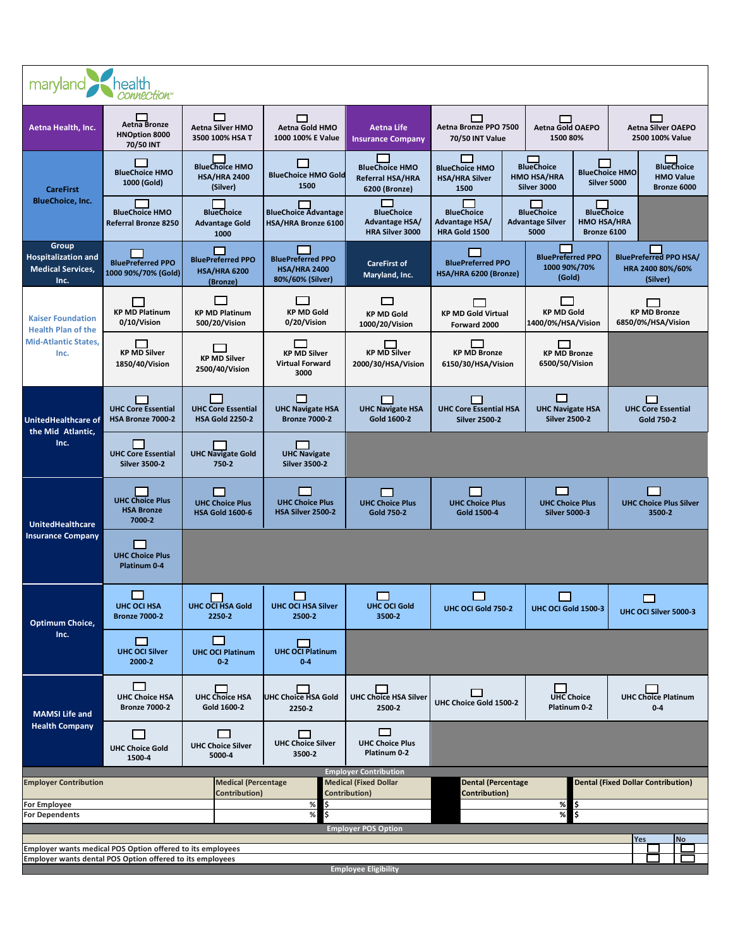| health<br>maryland<br>connection <sup>®</sup>                                                |                                                           |                                                             |                                                                     |                                                                               |                                                                                  |                                                                                                                |                                                                                              |  |  |
|----------------------------------------------------------------------------------------------|-----------------------------------------------------------|-------------------------------------------------------------|---------------------------------------------------------------------|-------------------------------------------------------------------------------|----------------------------------------------------------------------------------|----------------------------------------------------------------------------------------------------------------|----------------------------------------------------------------------------------------------|--|--|
| Aetna Health, Inc.                                                                           | Aetna Bronze<br><b>HNOption 8000</b><br>70/50 INT         | ▭<br>Aetna Silver HMO<br>3500 100% HSA T                    | □<br>Aetna Gold HMO<br>1000 100% E Value                            | <b>Aetna Life</b><br><b>Insurance Company</b>                                 | Aetna Bronze PPO 7500<br>70/50 INT Value                                         | <b>Aetna Gold OAEPO</b><br>1500 80%                                                                            | <b>Aetna Silver OAEPO</b><br>2500 100% Value                                                 |  |  |
| <b>CareFirst</b><br><b>BlueChoice, Inc.</b>                                                  | <b>BlueChoice HMO</b><br>1000 (Gold)                      | <b>BlueChoice HMO</b><br><b>HSA/HRA 2400</b><br>(Silver)    | <b>Contract</b><br><b>BlueChoice HMO Gold</b><br>1500               | <b>BlueChoice HMO</b><br>Referral HSA/HRA<br>6200 (Bronze)                    | ┍<br><b>BlueChoice HMO</b><br><b>HSA/HRA Silver</b><br>1500                      | m<br><b>BlueChoice</b><br><b>HMO HSA/HRA</b><br>Silver 3000                                                    | <b>BlueChoice</b><br><b>BlueChoice HMO</b><br><b>HMO Value</b><br>Silver 5000<br>Bronze 6000 |  |  |
|                                                                                              | <b>BlueChoice HMO</b><br>Referral Bronze 8250             | <b>BlueChoice</b><br><b>Advantage Gold</b><br>1000          | <b>BlueChoice Advantage</b><br>HSA/HRA Bronze 6100                  | <b>BlueChoice</b><br>Advantage HSA/<br><b>HRA Silver 3000</b>                 | <b>BlueChoice</b><br>Advantage HSA/<br>HRA Gold 1500                             | <b>BlueChoice</b><br><b>BlueChoice</b><br><b>Advantage Silver</b><br><b>HMO HSA/HRA</b><br>5000<br>Bronze 6100 |                                                                                              |  |  |
| Group<br><b>Hospitalization and</b><br><b>Medical Services,</b><br>Inc.                      | <b>BluePreferred PPO</b><br>1000 90%/70% (Gold)           | <b>BluePreferred PPO</b><br><b>HSA/HRA 6200</b><br>(Bronze) | <b>BluePreferred PPO</b><br><b>HSA/HRA 2400</b><br>80%/60% (Silver) | <b>CareFirst of</b><br>Maryland, Inc.                                         | <b>BluePreferred PPO</b><br>HSA/HRA 6200 (Bronze)                                | <b>BluePreferred PPO</b><br>1000 90%/70%<br>(Gold)                                                             | <b>BluePreferred PPO HSA/</b><br>HRA 2400 80%/60%<br>(Silver)                                |  |  |
| <b>Kaiser Foundation</b><br><b>Health Plan of the</b><br><b>Mid-Atlantic States,</b><br>Inc. | <b>KP MD Platinum</b><br>0/10/Vision                      | $\Box$<br><b>KP MD Platinum</b><br>500/20/Vision            | <b>KP MD Gold</b><br>0/20/Vision                                    | П<br><b>KP MD Gold</b><br>1000/20/Vision                                      | <b>KP MD Gold Virtual</b><br>Forward 2000                                        | <b>KP MD Gold</b><br>1400/0%/HSA/Vision                                                                        | <b>KP MD Bronze</b><br>6850/0%/HSA/Vision                                                    |  |  |
|                                                                                              | <b>KP MD Silver</b><br>1850/40/Vision                     | <b>Contract</b><br><b>KP MD Silver</b><br>2500/40/Vision    | n an<br><b>KP MD Silver</b><br><b>Virtual Forward</b><br>3000       | <b>KP MD Silver</b><br>2000/30/HSA/Vision                                     | <b>KP MD Bronze</b><br>6150/30/HSA/Vision                                        | <b>KP MD Bronze</b><br>6500/50/Vision                                                                          |                                                                                              |  |  |
| <b>UnitedHealthcare of</b>                                                                   | <b>UHC Core Essential</b><br>HSA Bronze 7000-2            | <b>UHC Core Essential</b><br><b>HSA Gold 2250-2</b>         | П<br><b>UHC Navigate HSA</b><br><b>Bronze 7000-2</b>                | <b>UHC Navigate HSA</b><br>Gold 1600-2                                        | <b>UHC Core Essential HSA</b><br><b>Silver 2500-2</b>                            | □<br><b>UHC Navigate HSA</b><br><b>Silver 2500-2</b>                                                           | П<br><b>UHC Core Essential</b><br>Gold 750-2                                                 |  |  |
| the Mid Atlantic,<br>Inc.                                                                    | <b>UHC Core Essential</b><br><b>Silver 3500-2</b>         | <b>UHC Navigate Gold</b><br>750-2                           | <b>UHC Navigate</b><br><b>Silver 3500-2</b>                         |                                                                               |                                                                                  |                                                                                                                |                                                                                              |  |  |
| <b>UnitedHealthcare</b><br><b>Insurance Company</b>                                          | <b>UHC Choice Plus</b><br><b>HSA Bronze</b><br>7000-2     | <b>UHC Choice Plus</b><br><b>HSA Gold 1600-6</b>            | <b>UHC Choice Plus</b><br>HSA Silver 2500-2                         | <b>UHC Choice Plus</b><br><b>Gold 750-2</b>                                   | <b>UHC Choice Plus</b><br>Gold 1500-4                                            | ┍<br><b>UHC Choice Plus</b><br><b>Silver 5000-3</b>                                                            | <b>UHC Choice Plus Silver</b><br>3500-2                                                      |  |  |
|                                                                                              | <b>UHC Choice Plus</b><br>Platinum 0-4                    |                                                             |                                                                     |                                                                               |                                                                                  |                                                                                                                |                                                                                              |  |  |
| Optimum Choice,<br>Inc.                                                                      | UHC OCI HSA<br><b>Bronze 7000-2</b>                       | П<br><b>UHC OCI HSA Gold</b><br>2250-2                      | <b>UHC OCI HSA Silver</b><br>2500-2                                 | <b>UHC OCI Gold</b><br>3500-2                                                 | UHC OCI Gold 750-2                                                               | UHC OCI Gold 1500-3                                                                                            | UHC OCI Silver 5000-3                                                                        |  |  |
|                                                                                              | $\Box$<br><b>UHC OCI Silver</b><br>2000-2                 | l.<br><b>UHC OCI Platinum</b><br>$0 - 2$                    | <b>UHC OCI Platinum</b><br>$0 - 4$                                  |                                                                               |                                                                                  |                                                                                                                |                                                                                              |  |  |
| <b>MAMSI Life and</b><br><b>Health Company</b>                                               | <b>UHC Choice HSA</b><br><b>Bronze 7000-2</b>             | <b>UHC Choice HSA</b><br>Gold 1600-2                        | <b>UHC Choice HSA Gold</b><br>2250-2                                | <b>UHC Choice HSA Silver</b><br>2500-2                                        | $\Box$<br>UHC Choice Gold 1500-2                                                 | <b>UHC Choice</b><br>Platinum 0-2                                                                              | <b>UHC Choice Platinum</b><br>$0 - 4$                                                        |  |  |
|                                                                                              | $\Box$<br><b>UHC Choice Gold</b><br>1500-4                | $\mathbf{r}$<br><b>UHC Choice Silver</b><br>5000-4          | <b>Contract</b><br><b>UHC Choice Silver</b><br>3500-2               | $\Box$<br><b>UHC Choice Plus</b><br>Platinum 0-2                              |                                                                                  |                                                                                                                |                                                                                              |  |  |
| <b>Employer Contribution</b>                                                                 |                                                           | <b>Medical (Percentage</b><br>Contribution)                 |                                                                     | <b>Employer Contribution</b><br><b>Medical (Fixed Dollar</b><br>Contribution) | Dental (Fixed Dollar Contribution)<br><b>Dental (Percentage</b><br>Contribution) |                                                                                                                |                                                                                              |  |  |
| <b>For Employee</b><br><b>For Dependents</b>                                                 |                                                           |                                                             | \$<br>$\%$<br>$\%$<br>Ś                                             |                                                                               |                                                                                  | %<br>l\$<br>$\%$<br>\$                                                                                         |                                                                                              |  |  |
|                                                                                              |                                                           |                                                             |                                                                     | <b>Employer POS Option</b>                                                    |                                                                                  |                                                                                                                | Yes<br><b>No</b>                                                                             |  |  |
| Employer wants medical POS Option offered to its employees                                   | Employer wants dental POS Option offered to its employees |                                                             |                                                                     |                                                                               |                                                                                  |                                                                                                                |                                                                                              |  |  |
| <b>Employee Eligibility</b>                                                                  |                                                           |                                                             |                                                                     |                                                                               |                                                                                  |                                                                                                                |                                                                                              |  |  |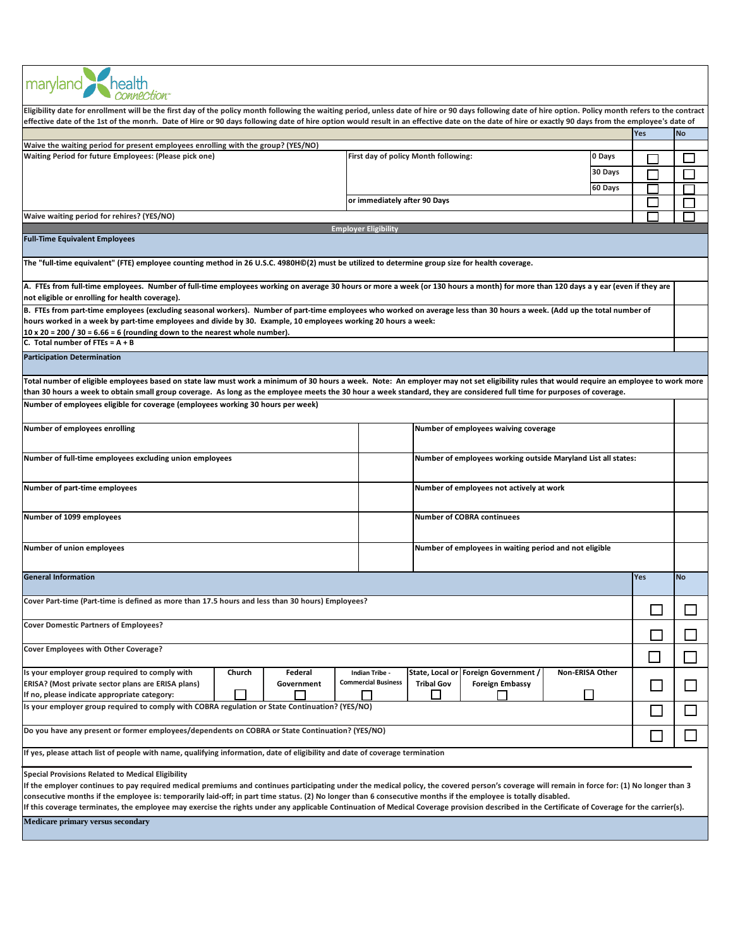| maryland health                                                                                                                                                                                                                                                                                                                                                                                                                                                                                                                                                                                                               |                                                                                                                                                                                           |              |  |  |  |  |  |  |  |  |  |
|-------------------------------------------------------------------------------------------------------------------------------------------------------------------------------------------------------------------------------------------------------------------------------------------------------------------------------------------------------------------------------------------------------------------------------------------------------------------------------------------------------------------------------------------------------------------------------------------------------------------------------|-------------------------------------------------------------------------------------------------------------------------------------------------------------------------------------------|--------------|--|--|--|--|--|--|--|--|--|
| Eligibility date for enrollment will be the first day of the policy month following the waiting period, unless date of hire or 90 days following date of hire option. Policy month refers to the contract<br>effective date of the 1st of the monrh. Date of Hire or 90 days following date of hire option would result in an effective date on the date of hire or exactly 90 days from the employee's date of                                                                                                                                                                                                               |                                                                                                                                                                                           |              |  |  |  |  |  |  |  |  |  |
| Yes<br><b>No</b>                                                                                                                                                                                                                                                                                                                                                                                                                                                                                                                                                                                                              |                                                                                                                                                                                           |              |  |  |  |  |  |  |  |  |  |
| Waive the waiting period for present employees enrolling with the group? (YES/NO)                                                                                                                                                                                                                                                                                                                                                                                                                                                                                                                                             |                                                                                                                                                                                           |              |  |  |  |  |  |  |  |  |  |
| Waiting Period for future Employees: (Please pick one)                                                                                                                                                                                                                                                                                                                                                                                                                                                                                                                                                                        | First day of policy Month following:<br>0 Days                                                                                                                                            |              |  |  |  |  |  |  |  |  |  |
|                                                                                                                                                                                                                                                                                                                                                                                                                                                                                                                                                                                                                               |                                                                                                                                                                                           |              |  |  |  |  |  |  |  |  |  |
|                                                                                                                                                                                                                                                                                                                                                                                                                                                                                                                                                                                                                               | 30 Days                                                                                                                                                                                   |              |  |  |  |  |  |  |  |  |  |
|                                                                                                                                                                                                                                                                                                                                                                                                                                                                                                                                                                                                                               | 60 Days                                                                                                                                                                                   |              |  |  |  |  |  |  |  |  |  |
|                                                                                                                                                                                                                                                                                                                                                                                                                                                                                                                                                                                                                               | or immediately after 90 Days                                                                                                                                                              |              |  |  |  |  |  |  |  |  |  |
|                                                                                                                                                                                                                                                                                                                                                                                                                                                                                                                                                                                                                               |                                                                                                                                                                                           |              |  |  |  |  |  |  |  |  |  |
| Waive waiting period for rehires? (YES/NO)                                                                                                                                                                                                                                                                                                                                                                                                                                                                                                                                                                                    |                                                                                                                                                                                           |              |  |  |  |  |  |  |  |  |  |
| <b>Employer Eligibility</b>                                                                                                                                                                                                                                                                                                                                                                                                                                                                                                                                                                                                   |                                                                                                                                                                                           |              |  |  |  |  |  |  |  |  |  |
| <b>Full-Time Equivalent Employees</b>                                                                                                                                                                                                                                                                                                                                                                                                                                                                                                                                                                                         |                                                                                                                                                                                           |              |  |  |  |  |  |  |  |  |  |
| The "full-time equivalent" (FTE) employee counting method in 26 U.S.C. 4980H©(2) must be utilized to determine group size for health coverage.                                                                                                                                                                                                                                                                                                                                                                                                                                                                                |                                                                                                                                                                                           |              |  |  |  |  |  |  |  |  |  |
| A. FTEs from full-time employees. Number of full-time employees working on average 30 hours or more a week (or 130 hours a month) for more than 120 days a y ear (even if they are<br>not eligible or enrolling for health coverage).                                                                                                                                                                                                                                                                                                                                                                                         |                                                                                                                                                                                           |              |  |  |  |  |  |  |  |  |  |
| B. FTEs from part-time employees (excluding seasonal workers). Number of part-time employees who worked on average less than 30 hours a week. (Add up the total number of                                                                                                                                                                                                                                                                                                                                                                                                                                                     |                                                                                                                                                                                           |              |  |  |  |  |  |  |  |  |  |
| hours worked in a week by part-time employees and divide by 30. Example, 10 employees working 20 hours a week:                                                                                                                                                                                                                                                                                                                                                                                                                                                                                                                |                                                                                                                                                                                           |              |  |  |  |  |  |  |  |  |  |
| $10 \times 20 = 200 / 30 = 6.66 = 6$ (rounding down to the nearest whole number).                                                                                                                                                                                                                                                                                                                                                                                                                                                                                                                                             |                                                                                                                                                                                           |              |  |  |  |  |  |  |  |  |  |
| C. Total number of FTEs = $A + B$                                                                                                                                                                                                                                                                                                                                                                                                                                                                                                                                                                                             |                                                                                                                                                                                           |              |  |  |  |  |  |  |  |  |  |
| <b>Participation Determination</b>                                                                                                                                                                                                                                                                                                                                                                                                                                                                                                                                                                                            |                                                                                                                                                                                           |              |  |  |  |  |  |  |  |  |  |
| than 30 hours a week to obtain small group coverage. As long as the employee meets the 30 hour a week standard, they are considered full time for purposes of coverage.                                                                                                                                                                                                                                                                                                                                                                                                                                                       | Total number of eligible employees based on state law must work a minimum of 30 hours a week. Note: An employer may not set eligibility rules that would require an employee to work more |              |  |  |  |  |  |  |  |  |  |
| Number of employees eligible for coverage (employees working 30 hours per week)                                                                                                                                                                                                                                                                                                                                                                                                                                                                                                                                               |                                                                                                                                                                                           |              |  |  |  |  |  |  |  |  |  |
|                                                                                                                                                                                                                                                                                                                                                                                                                                                                                                                                                                                                                               |                                                                                                                                                                                           |              |  |  |  |  |  |  |  |  |  |
|                                                                                                                                                                                                                                                                                                                                                                                                                                                                                                                                                                                                                               |                                                                                                                                                                                           |              |  |  |  |  |  |  |  |  |  |
| Number of employees enrolling                                                                                                                                                                                                                                                                                                                                                                                                                                                                                                                                                                                                 | Number of employees waiving coverage                                                                                                                                                      |              |  |  |  |  |  |  |  |  |  |
| Number of full-time employees excluding union employees<br>Number of employees working outside Maryland List all states:                                                                                                                                                                                                                                                                                                                                                                                                                                                                                                      |                                                                                                                                                                                           |              |  |  |  |  |  |  |  |  |  |
| Number of part-time employees<br>Number of employees not actively at work                                                                                                                                                                                                                                                                                                                                                                                                                                                                                                                                                     |                                                                                                                                                                                           |              |  |  |  |  |  |  |  |  |  |
| Number of 1099 employees<br><b>Number of COBRA continuees</b>                                                                                                                                                                                                                                                                                                                                                                                                                                                                                                                                                                 |                                                                                                                                                                                           |              |  |  |  |  |  |  |  |  |  |
| Number of union employees<br>Number of employees in waiting period and not eligible                                                                                                                                                                                                                                                                                                                                                                                                                                                                                                                                           |                                                                                                                                                                                           |              |  |  |  |  |  |  |  |  |  |
| <b>General Information</b>                                                                                                                                                                                                                                                                                                                                                                                                                                                                                                                                                                                                    | Yes<br><b>No</b>                                                                                                                                                                          |              |  |  |  |  |  |  |  |  |  |
|                                                                                                                                                                                                                                                                                                                                                                                                                                                                                                                                                                                                                               |                                                                                                                                                                                           |              |  |  |  |  |  |  |  |  |  |
| ?Cover Part-time (Part-time is defined as more than 17.5 hours and less than 30 hours) Employees                                                                                                                                                                                                                                                                                                                                                                                                                                                                                                                              |                                                                                                                                                                                           |              |  |  |  |  |  |  |  |  |  |
| <b>Cover Domestic Partners of Employees?</b>                                                                                                                                                                                                                                                                                                                                                                                                                                                                                                                                                                                  |                                                                                                                                                                                           |              |  |  |  |  |  |  |  |  |  |
| Cover Employees with Other Coverage?<br>$\Box$                                                                                                                                                                                                                                                                                                                                                                                                                                                                                                                                                                                |                                                                                                                                                                                           |              |  |  |  |  |  |  |  |  |  |
| Is your employer group required to comply with<br>Church<br>Federal                                                                                                                                                                                                                                                                                                                                                                                                                                                                                                                                                           | Non-ERISA Other<br>Indian Tribe -<br>State, Local or Foreign Government /                                                                                                                 |              |  |  |  |  |  |  |  |  |  |
| ERISA? (Most private sector plans are ERISA plans)<br>Government                                                                                                                                                                                                                                                                                                                                                                                                                                                                                                                                                              | <b>Commercial Business</b><br><b>Tribal Gov</b><br><b>Foreign Embassy</b><br>$\mathbf{I}$                                                                                                 | $\mathsf{L}$ |  |  |  |  |  |  |  |  |  |
| If no, please indicate appropriate category:<br>$\mathbf{I}$                                                                                                                                                                                                                                                                                                                                                                                                                                                                                                                                                                  | П                                                                                                                                                                                         |              |  |  |  |  |  |  |  |  |  |
| Is your employer group required to comply with COBRA regulation or State Continuation? (YES/NO)                                                                                                                                                                                                                                                                                                                                                                                                                                                                                                                               |                                                                                                                                                                                           |              |  |  |  |  |  |  |  |  |  |
| Do you have any present or former employees/dependents on COBRA or State Continuation? (YES/NO)                                                                                                                                                                                                                                                                                                                                                                                                                                                                                                                               |                                                                                                                                                                                           |              |  |  |  |  |  |  |  |  |  |
| If yes, please attach list of people with name, qualifying information, date of eligibility and date of coverage termination                                                                                                                                                                                                                                                                                                                                                                                                                                                                                                  |                                                                                                                                                                                           |              |  |  |  |  |  |  |  |  |  |
|                                                                                                                                                                                                                                                                                                                                                                                                                                                                                                                                                                                                                               |                                                                                                                                                                                           |              |  |  |  |  |  |  |  |  |  |
| <b>Special Provisions Related to Medical Eligibility</b><br>If the employer continues to pay required medical premiums and continues participating under the medical policy, the covered person's coverage will remain in force for: (1) No longer than 3<br>consecutive months if the employee is: temporarily laid-off; in part time status. (2) No longer than 6 consecutive months if the employee is totally disabled.<br>If this coverage terminates, the employee may exercise the rights under any applicable Continuation of Medical Coverage provision described in the Certificate of Coverage for the carrier(s). |                                                                                                                                                                                           |              |  |  |  |  |  |  |  |  |  |
|                                                                                                                                                                                                                                                                                                                                                                                                                                                                                                                                                                                                                               |                                                                                                                                                                                           |              |  |  |  |  |  |  |  |  |  |

**Medicare primary versus secondary**